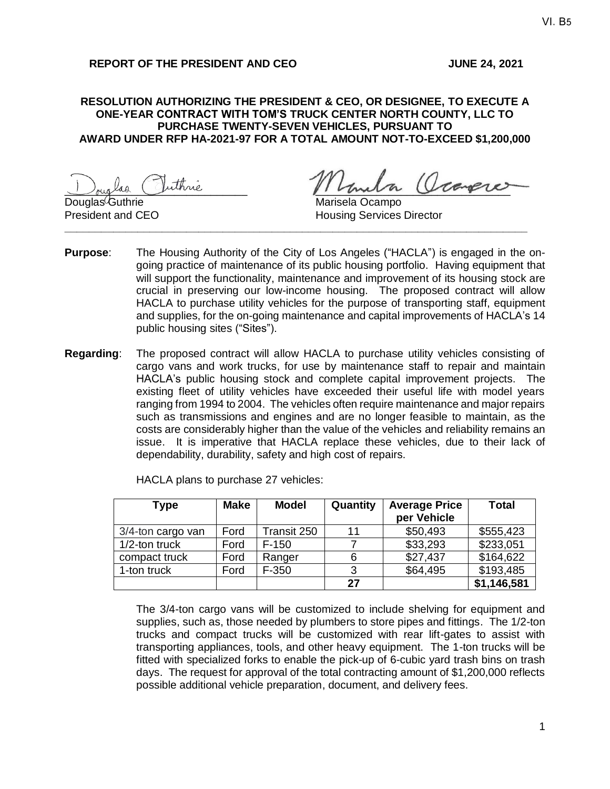#### **RESOLUTION AUTHORIZING THE PRESIDENT & CEO, OR DESIGNEE, TO EXECUTE A ONE-YEAR CONTRACT WITH TOM'S TRUCK CENTER NORTH COUNTY, LLC TO PURCHASE TWENTY-SEVEN VEHICLES, PURSUANT TO AWARD UNDER RFP HA-2021-97 FOR A TOTAL AMOUNT NOT-TO-EXCEED \$1,200,000**

Douglas Juinne

Guthrie **Guthrie** Guthrie Marisela Ocampo **President and CEO Housing Services Director** 

**Purpose**: The Housing Authority of the City of Los Angeles ("HACLA") is engaged in the ongoing practice of maintenance of its public housing portfolio. Having equipment that will support the functionality, maintenance and improvement of its housing stock are crucial in preserving our low-income housing. The proposed contract will allow HACLA to purchase utility vehicles for the purpose of transporting staff, equipment and supplies, for the on-going maintenance and capital improvements of HACLA's 14 public housing sites ("Sites").

**\_\_\_\_\_\_\_\_\_\_\_\_\_\_\_\_\_\_\_\_\_\_\_\_\_\_\_\_\_\_\_\_\_\_\_\_\_\_\_\_\_\_\_\_\_\_\_\_\_\_\_\_\_\_\_\_\_\_\_\_\_\_\_\_\_\_\_\_\_\_\_\_\_\_\_\_**

**Regarding**: The proposed contract will allow HACLA to purchase utility vehicles consisting of cargo vans and work trucks, for use by maintenance staff to repair and maintain HACLA's public housing stock and complete capital improvement projects. The existing fleet of utility vehicles have exceeded their useful life with model years ranging from 1994 to 2004. The vehicles often require maintenance and major repairs such as transmissions and engines and are no longer feasible to maintain, as the costs are considerably higher than the value of the vehicles and reliability remains an issue. It is imperative that HACLA replace these vehicles, due to their lack of dependability, durability, safety and high cost of repairs.

| <b>Type</b>       | <b>Make</b> | Model       | Quantity | <b>Average Price</b><br>per Vehicle | Total       |
|-------------------|-------------|-------------|----------|-------------------------------------|-------------|
| 3/4-ton cargo van | Ford        | Transit 250 | 11       | \$50,493                            | \$555,423   |
| 1/2-ton truck     | Ford        | $F-150$     |          | \$33,293                            | \$233,051   |
| compact truck     | Ford        | Ranger      | 6        | \$27,437                            | \$164,622   |
| 1-ton truck       | Ford        | $F-350$     | 3        | \$64,495                            | \$193,485   |
|                   |             |             | 27       |                                     | \$1,146,581 |

HACLA plans to purchase 27 vehicles:

The 3/4-ton cargo vans will be customized to include shelving for equipment and supplies, such as, those needed by plumbers to store pipes and fittings. The 1/2-ton trucks and compact trucks will be customized with rear lift-gates to assist with transporting appliances, tools, and other heavy equipment. The 1-ton trucks will be fitted with specialized forks to enable the pick-up of 6-cubic yard trash bins on trash days. The request for approval of the total contracting amount of \$1,200,000 reflects possible additional vehicle preparation, document, and delivery fees.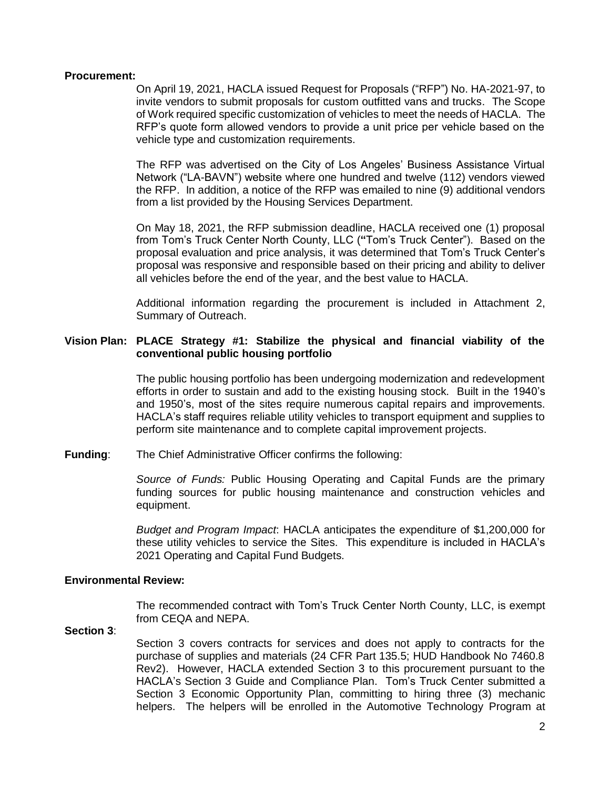#### **Procurement:**

On April 19, 2021, HACLA issued Request for Proposals ("RFP") No. HA-2021-97, to invite vendors to submit proposals for custom outfitted vans and trucks. The Scope of Work required specific customization of vehicles to meet the needs of HACLA. The RFP's quote form allowed vendors to provide a unit price per vehicle based on the vehicle type and customization requirements.

The RFP was advertised on the City of Los Angeles' Business Assistance Virtual Network ("LA-BAVN") website where one hundred and twelve (112) vendors viewed the RFP. In addition, a notice of the RFP was emailed to nine (9) additional vendors from a list provided by the Housing Services Department.

On May 18, 2021, the RFP submission deadline, HACLA received one (1) proposal from Tom's Truck Center North County, LLC (**"**Tom's Truck Center"). Based on the proposal evaluation and price analysis, it was determined that Tom's Truck Center's proposal was responsive and responsible based on their pricing and ability to deliver all vehicles before the end of the year, and the best value to HACLA.

Additional information regarding the procurement is included in Attachment 2, Summary of Outreach.

## **Vision Plan: PLACE Strategy #1: Stabilize the physical and financial viability of the conventional public housing portfolio**

The public housing portfolio has been undergoing modernization and redevelopment efforts in order to sustain and add to the existing housing stock. Built in the 1940's and 1950's, most of the sites require numerous capital repairs and improvements. HACLA's staff requires reliable utility vehicles to transport equipment and supplies to perform site maintenance and to complete capital improvement projects.

**Funding**: The Chief Administrative Officer confirms the following:

*Source of Funds:* Public Housing Operating and Capital Funds are the primary funding sources for public housing maintenance and construction vehicles and equipment.

*Budget and Program Impact*: HACLA anticipates the expenditure of \$1,200,000 for these utility vehicles to service the Sites. This expenditure is included in HACLA's 2021 Operating and Capital Fund Budgets.

#### **Environmental Review:**

The recommended contract with Tom's Truck Center North County, LLC, is exempt from CEQA and NEPA.

## **Section 3**:

Section 3 covers contracts for services and does not apply to contracts for the purchase of supplies and materials (24 CFR Part 135.5; HUD Handbook No 7460.8 Rev2). However, HACLA extended Section 3 to this procurement pursuant to the HACLA's Section 3 Guide and Compliance Plan. Tom's Truck Center submitted a Section 3 Economic Opportunity Plan, committing to hiring three (3) mechanic helpers. The helpers will be enrolled in the Automotive Technology Program at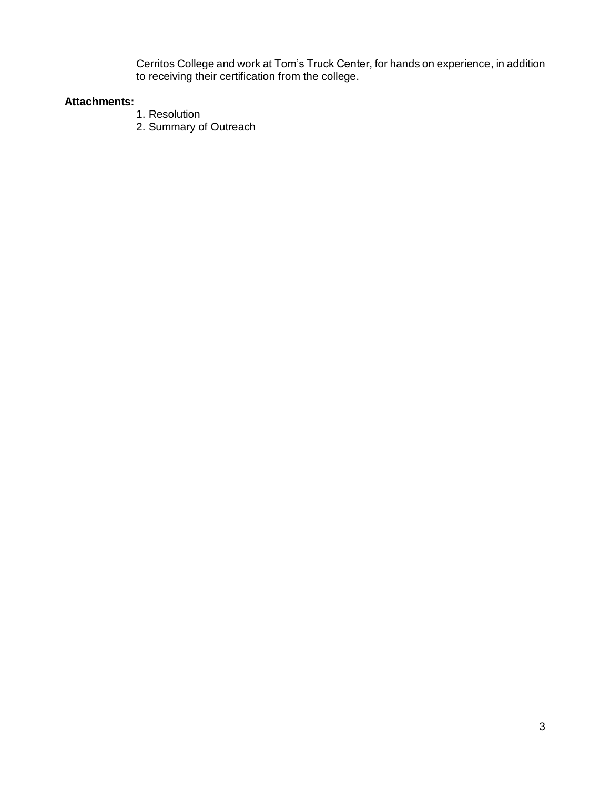Cerritos College and work at Tom's Truck Center, for hands on experience, in addition to receiving their certification from the college.

## **Attachments:**

- 1. Resolution
- 2. Summary of Outreach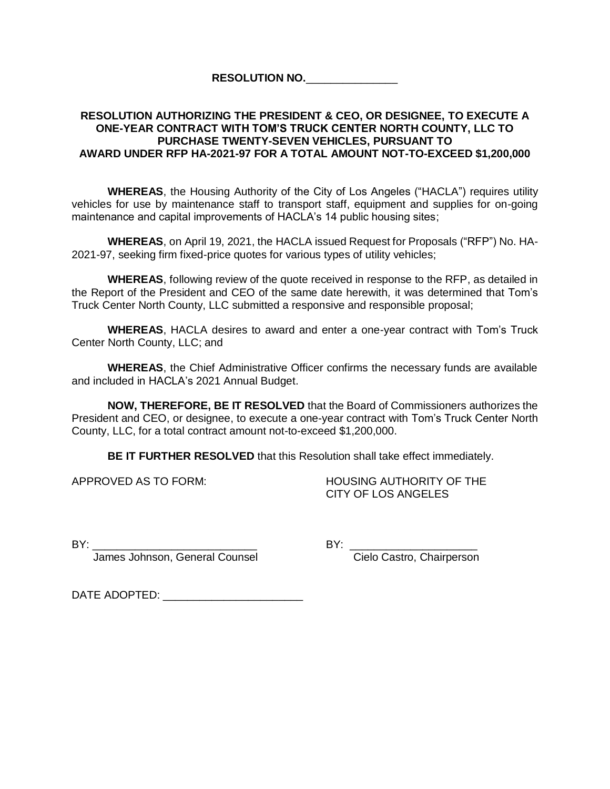## **RESOLUTION NO.**\_\_\_\_\_\_\_\_\_\_\_\_\_\_\_

## **RESOLUTION AUTHORIZING THE PRESIDENT & CEO, OR DESIGNEE, TO EXECUTE A ONE-YEAR CONTRACT WITH TOM'S TRUCK CENTER NORTH COUNTY, LLC TO PURCHASE TWENTY-SEVEN VEHICLES, PURSUANT TO AWARD UNDER RFP HA-2021-97 FOR A TOTAL AMOUNT NOT-TO-EXCEED \$1,200,000**

**WHEREAS**, the Housing Authority of the City of Los Angeles ("HACLA") requires utility vehicles for use by maintenance staff to transport staff, equipment and supplies for on-going maintenance and capital improvements of HACLA's 14 public housing sites;

**WHEREAS**, on April 19, 2021, the HACLA issued Request for Proposals ("RFP") No. HA-2021-97, seeking firm fixed-price quotes for various types of utility vehicles;

**WHEREAS**, following review of the quote received in response to the RFP, as detailed in the Report of the President and CEO of the same date herewith, it was determined that Tom's Truck Center North County, LLC submitted a responsive and responsible proposal;

**WHEREAS**, HACLA desires to award and enter a one-year contract with Tom's Truck Center North County, LLC; and

**WHEREAS**, the Chief Administrative Officer confirms the necessary funds are available and included in HACLA's 2021 Annual Budget.

**NOW, THEREFORE, BE IT RESOLVED** that the Board of Commissioners authorizes the President and CEO, or designee, to execute a one-year contract with Tom's Truck Center North County, LLC, for a total contract amount not-to-exceed \$1,200,000.

**BE IT FURTHER RESOLVED** that this Resolution shall take effect immediately.

APPROVED AS TO FORM: HOUSING AUTHORITY OF THE CITY OF LOS ANGELES

BY: \_\_\_\_\_\_\_\_\_\_\_\_\_\_\_\_\_\_\_\_\_\_\_\_\_\_\_ BY: \_\_\_\_\_\_\_\_\_\_\_\_\_\_\_\_\_\_\_\_\_

James Johnson, General Counsel Cielo Castro, Chairperson

DATE ADOPTED: \_\_\_\_\_\_\_\_\_\_\_\_\_\_\_\_\_\_\_\_\_\_\_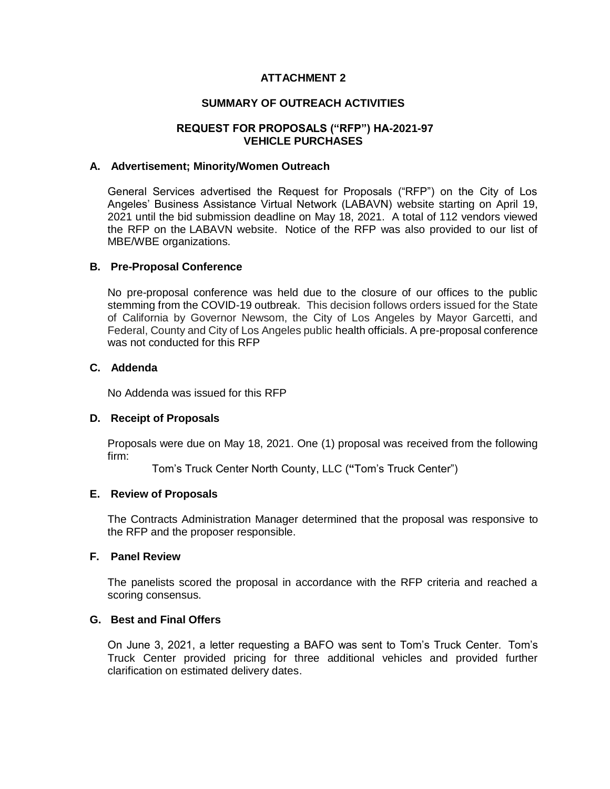## **ATTACHMENT 2**

## **SUMMARY OF OUTREACH ACTIVITIES**

## **REQUEST FOR PROPOSALS ("RFP") HA-2021-97 VEHICLE PURCHASES**

#### **A. Advertisement; Minority/Women Outreach**

General Services advertised the Request for Proposals ("RFP") on the City of Los Angeles' Business Assistance Virtual Network (LABAVN) website starting on April 19, 2021 until the bid submission deadline on May 18, 2021. A total of 112 vendors viewed the RFP on the LABAVN website. Notice of the RFP was also provided to our list of MBE/WBE organizations.

#### **B. Pre-Proposal Conference**

No pre-proposal conference was held due to the closure of our offices to the public stemming from the COVID-19 outbreak. This decision follows orders issued for the State of California by Governor Newsom, the City of Los Angeles by Mayor Garcetti, and Federal, County and City of Los Angeles public health officials. A pre-proposal conference was not conducted for this RFP

## **C. Addenda**

No Addenda was issued for this RFP

#### **D. Receipt of Proposals**

Proposals were due on May 18, 2021. One (1) proposal was received from the following firm:

Tom's Truck Center North County, LLC (**"**Tom's Truck Center")

#### **E. Review of Proposals**

The Contracts Administration Manager determined that the proposal was responsive to the RFP and the proposer responsible.

#### **F. Panel Review**

The panelists scored the proposal in accordance with the RFP criteria and reached a scoring consensus.

## **G. Best and Final Offers**

On June 3, 2021, a letter requesting a BAFO was sent to Tom's Truck Center. Tom's Truck Center provided pricing for three additional vehicles and provided further clarification on estimated delivery dates.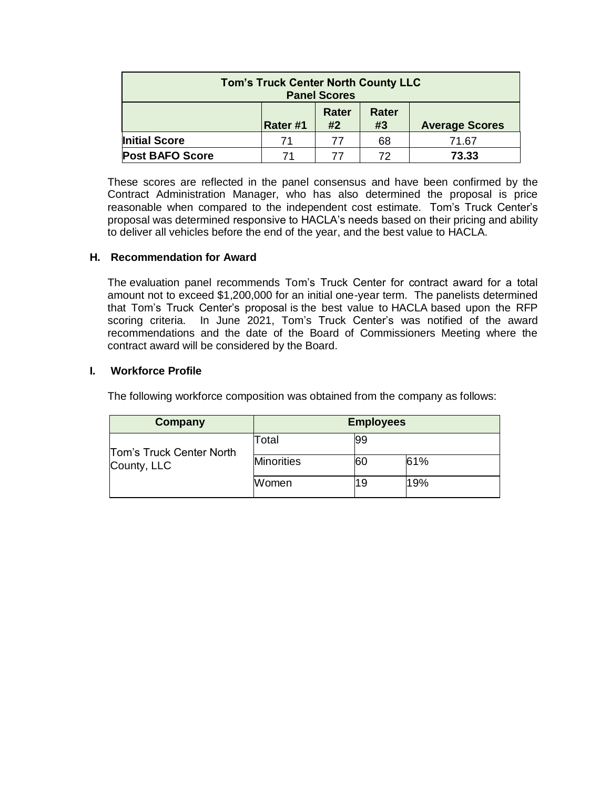| <b>Tom's Truck Center North County LLC</b><br><b>Panel Scores</b> |          |             |                    |                       |
|-------------------------------------------------------------------|----------|-------------|--------------------|-----------------------|
|                                                                   | Rater #1 | Rater<br>#2 | <b>Rater</b><br>#3 | <b>Average Scores</b> |
| <b>Initial Score</b>                                              | 71       | 77          | 68                 | 71.67                 |
| <b>Post BAFO Score</b>                                            | 71       | 77          | 72                 | 73.33                 |

These scores are reflected in the panel consensus and have been confirmed by the Contract Administration Manager, who has also determined the proposal is price reasonable when compared to the independent cost estimate. Tom's Truck Center's proposal was determined responsive to HACLA's needs based on their pricing and ability to deliver all vehicles before the end of the year, and the best value to HACLA.

## **H. Recommendation for Award**

The evaluation panel recommends Tom's Truck Center for contract award for a total amount not to exceed \$1,200,000 for an initial one-year term. The panelists determined that Tom's Truck Center's proposal is the best value to HACLA based upon the RFP scoring criteria. In June 2021, Tom's Truck Center's was notified of the award recommendations and the date of the Board of Commissioners Meeting where the contract award will be considered by the Board.

## **I. Workforce Profile**

The following workforce composition was obtained from the company as follows:

| Company                  | <b>Employees</b>  |    |     |  |
|--------------------------|-------------------|----|-----|--|
| Tom's Truck Center North | Total             | 99 |     |  |
| County, LLC              | <b>Minorities</b> | 60 | 61% |  |
|                          | Women             | 19 | 19% |  |